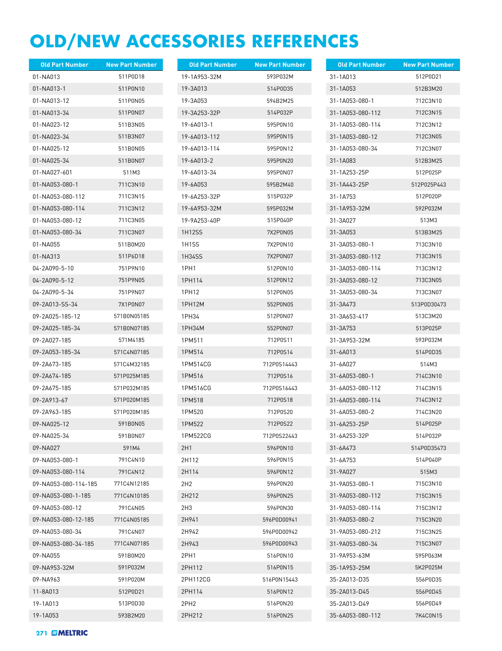## **OLD/NEW ACCESSORIES REFERENCES**

| <b>Old Part Number</b> | <b>New Part Number</b> | <b>Old Part Number</b> | <b>New Part Number</b> | <b>Old Part Number</b> | <b>New Part Number</b> |
|------------------------|------------------------|------------------------|------------------------|------------------------|------------------------|
| 01-NA013               | 511P0D18               | 19-1A953-32M           | 593P032M               | 31-1A013               | 512P0D21               |
| 01-NA013-1             | 511P0N10               | 19-3A013               | 514P0D35               | 31-1A053               | 512B3M20               |
| 01-NA013-12            | 511P0N05               | 19-3A053               | 594B2M25               | 31-1A053-080-1         | 712C3N10               |
| 01-NA013-34            | 511P0N07               | 19-3A253-32P           | 514P032P               | 31-1A053-080-112       | 712C3N15               |
| 01-NA023-12            | 511B3N05               | 19-6A013-1             | 595P0N10               | 31-1A053-080-114       | 712C3N12               |
| 01-NA023-34            | 511B3N07               | 19-6A013-112           | 595P0N15               | 31-1A053-080-12        | 712C3N05               |
| 01-NA025-12            | 511B0N05               | 19-6A013-114           | 595P0N12               | 31-1A053-080-34        | 712C3N07               |
| 01-NA025-34            | 511B0N07               | 19-6A013-2             | 595P0N20               | 31-1A083               | 512B3M25               |
| 01-NA027-601           | 511M3                  | 19-6A013-34            | 595P0N07               | 31-1A253-25P           | 512P025P               |
| 01-NA053-080-1         | 711C3N10               | 19-6A053               | 595B2M40               | 31-1A443-25P           | 512P025P443            |
| 01-NA053-080-112       | 711C3N15               | 19-6A253-32P           | 515P032P               | 31-1A753               | 512P020P               |
| 01-NA053-080-114       | 711C3N12               | 19-6A953-32M           | 595P032M               | 31-1A953-32M           | 592P032M               |
| 01-NA053-080-12        | 711C3N05               | 19-9A253-40P           | 515P040P               | 31-3A027               | 513M3                  |
| 01-NA053-080-34        | 711C3N07               | 1H12SS                 | 7X2P0N05               | 31-3A053               | 513B3M25               |
| 01-NA055               | 511B0M20               | 1H <sub>1</sub> SS     | 7X2P0N10               | 31-3A053-080-1         | 713C3N10               |
| 01-NA313               | 511P6D18               | 1H34SS                 | 7X2P0N07               | 31-3A053-080-112       | 713C3N15               |
| 04-2A090-5-10          | 751P9N10               | 1PH1                   | 512P0N10               | 31-3A053-080-114       | 713C3N12               |
| 04-2A090-5-12          | 751P9N05               | 1PH114                 | 512P0N12               | 31-3A053-080-12        | 713C3N05               |
| 04-2A090-5-34          | 751P9N07               | 1PH12                  | 512P0N05               | 31-3A053-080-34        | 713C3N07               |
| 09-2A013-SS-34         | 7X1P0N07               | 1PH12M                 | 552P0N05               | 31-3A473               | 513P0D30473            |
| 09-2A025-185-12        | 571B0N05185            | 1PH34                  | 512P0N07               | 31-3A653-417           | 513C3M20               |
| 09-2A025-185-34        | 571B0N07185            | 1PH34M                 | 552P0N07               | 31-3A753               | 513P025P               |
| 09-2A027-185           | 571M4185               | 1PM511                 | 712P0S11               | 31-3A953-32M           | 593P032M               |
| 09-2A053-185-34        | 571C4N07185            | 1PM514                 | 712P0S14               | 31-6A013               | 514P0D35               |
| 09-2A673-185           | 571C4M32185            | 1PM514CG               | 712P0S14443            | 31-6A027               | 514M3                  |
| 09-2A674-185           | 571P025M185            | 1PM516                 | 712P0S16               | 31-6A053-080-1         | 714C3N10               |
| 09-2A675-185           | 571P032M185            | 1PM516CG               | 712P0S16443            | 31-6A053-080-112       | 714C3N15               |
| 09-2A913-67            | 571P020M185            | 1PM518                 | 712P0S18               | 31-6A053-080-114       | 714C3N12               |
| 09-2A963-185           | 571P020M185            | 1PM520                 | 712P0S20               | 31-6A053-080-2         | 714C3N20               |
| 09-NA025-12            | 591B0N05               | 1PM522                 | 712P0S22               | 31-6A253-25P           | 514P025P               |
| 09-NA025-34            | 591B0N07               | 1PM522CG               | 712P0S22443            | 31-6A253-32P           | 514P032P               |
| 09-NA027               | 591M4                  | 2H1                    | 596P0N10               | 31-6A473               | 514P0D35473            |
| 09-NA053-080-1         | 791C4N10               | 2H112                  | 596P0N15               | 31-6A753               | 514P040P               |
| 09-NA053-080-114       | 791C4N12               | 2H114                  | 596P0N12               | 31-9A027               | 515M3                  |
| 09-NA053-080-114-185   | 771C4N12185            | 2H2                    | 596P0N20               | 31-9A053-080-1         | 715C3N10               |
| 09-NA053-080-1-185     | 771C4N10185            | 2H212                  | 596P0N25               | 31-9A053-080-112       | 715C3N15               |
| 09-NA053-080-12        | 791C4N05               | 2H3                    | 596P0N30               | 31-9A053-080-114       | 715C3N12               |
| 09-NA053-080-12-185    | 771C4N05185            | 2H941                  | 596P0D00941            | 31-9A053-080-2         | 715C3N20               |
| 09-NA053-080-34        | 791C4N07               | 2H942                  | 596P0D00942            | 31-9A053-080-212       | 715C3N25               |
| 09-NA053-080-34-185    | 771C4N07185            | 2H943                  | 596P0D00943            | 31-9A053-080-34        | 715C3N07               |
| 09-NA055               | 591B0M20               | 2PH1                   | 516P0N10               | 31-9A953-63M           | 595P063M               |
| 09-NA953-32M           | 591P032M               | 2PH112                 | 516P0N15               | 35-1A953-25M           | 5K2P025M               |
| 09-NA963               | 591P020M               | 2PH112CG               | 516P0N15443            | 35-2A013-D35           | 556P0D35               |
| 11-8A013               | 512P0D21               | 2PH114                 | 516P0N12               | 35-2A013-D45           | 556P0D45               |
| 19-1A013               | 513P0D30               | 2PH <sub>2</sub>       | 516P0N20               | 35-2A013-D49           | 556P0D49               |
| 19-1A053               | 593B2M20               | 2PH212                 | 516P0N25               | 35-6A053-080-112       | 7K4C0N15               |
|                        |                        |                        |                        |                        |                        |

**271** *III* **MELTRIC**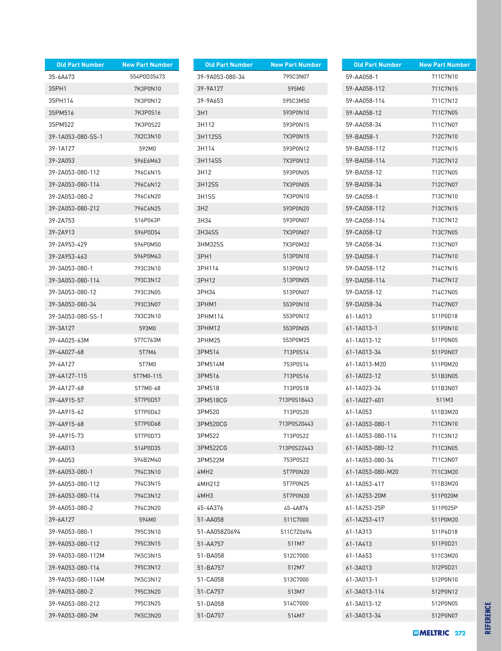| <b>Old Part Number</b> | <b>New Part Number</b> | <b>Old Part Number</b> | <b>New Part Number</b> | <b>Old Part Number</b> |
|------------------------|------------------------|------------------------|------------------------|------------------------|
| 35-6A473               | 554P0D35473            | 39-9A053-080-34        | 795C3N07               | 59-AA058-1             |
| 35PH1                  | 7K3P0N10               | 39-9A127               | 595M0                  | 59-AA058-112           |
| 35PH114                | 7K3P0N12               | 39-9A653               | 595C3M50               | 59-AA058-114           |
| 35PM516                | 7K3P0S16               | 3H1                    | 593P0N10               | 59-AA058-12            |
| 35PM522                | 7K3P0S22               | 3H112                  | 593P0N15               | 59-AA058-34            |
| 39-1A053-080-SS-1      | 7X2C3N10               | 3H112SS                | 7X3P0N15               | 59-BA058-1             |
| 39-1A127               | 592M0                  | 3H114                  | 593P0N12               | 59-BA058-112           |
| 39-2A053               | 596E6M63               | 3H114SS                | 7X3P0N12               | 59-BA058-114           |
| 39-2A053-080-112       | 796C6N15               | 3H12                   | 593P0N05               | 59-BA058-12            |
| 39-2A053-080-114       | 796C6N12               | 3H12SS                 | 7X3P0N05               | 59-BA058-34            |
| 39-2A053-080-2         | 796C6N20               | 3H1SS                  | 7X3P0N10               | 59-CA058-1             |
| 39-2A053-080-212       | 796C6N25               | 3H <sub>2</sub>        | 593P0N20               | 59-CA058-112           |
| 39-2A753               | 516P063P               | 3H34                   | 593P0N07               | 59-CA058-114           |
| 39-2A913               | 596P0D54               | 3H34SS                 | 7X3P0N07               | 59-CA058-12            |
| 39-2A953-429           | 596P0M50               | 3HM32SS                | 7X3P0M32               | 59-CA058-34            |
| 39-2A953-463           | 596P0M63               | 3PH1                   | 513P0N10               | 59-DA058-1             |
| 39-3A053-080-1         | 793C3N10               | 3PH114                 | 513P0N12               | 59-DA058-112           |
| 39-3A053-080-114       |                        |                        |                        |                        |
|                        | 793C3N12<br>793C3N05   | 3PH12                  | 513P0N05<br>513P0N07   | 59-DA058-114           |
| 39-3A053-080-12        |                        | 3PH34                  |                        | 59-DA058-12            |
| 39-3A053-080-34        | 793C3N07               | 3PHM1                  | 553P0N10               | 59-DA058-34            |
| 39-3A053-080-SS-1      | 7X3C3N10               | 3PHM114                | 553P0N12               | 61-1A013               |
| 39-3A127               | 593M0                  | 3PHM12                 | 553P0N05               | 61-1A013-1             |
| 39-4A025-63M           | 577C763M               | 3PHM25                 | 553P0M25               | 61-1A013-12            |
| 39-4A027-68            | 5T7M6                  | 3PM514                 | 713P0S14               | 61-1A013-34            |
| 39-4A127               | 5T7M0                  | 3PM514M                | 753P0S14               | 61-1A013-M20           |
| 39-4A127-115           | 5T7M0-115              | 3PM516                 | 713P0S16               | 61-1A023-12            |
| 39-4A127-68            | 5T7M0-68               | 3PM518                 | 713P0S18               | 61-1A023-34            |
| 39-4A915-57            | 5T7P0D57               | 3PM518CG               | 713P0S18443            | 61-1A027-601           |
| 39-4A915-62            | 5T7P0D62               | 3PM520                 | 713P0S20               | 61-1A053               |
| 39-4A915-68            | 5T7P0D68               | 3PM520CG               | 713P0S20443            | 61-1A053-080-1         |
| 39-4A915-73            | 5T7P0D73               | 3PM522                 | 713P0S22               | 61-1A053-080-114       |
| 39-6A013               | 514P0D35               | 3PM522CG               | 713P0S22443            | 61-1A053-080-12        |
| 39-6A053               | 594B2M40               | 3PM522M                | 753P0S22               | 61-1A053-080-34        |
| 39-6A053-080-1         | 794C3N10               | 4MH2                   | 5T7P0N20               | 61-1A053-080-M20       |
| 39-6A053-080-112       | 794C3N15               | 4MH212                 | 5T7P0N25               | 61-1A053-417           |
| 39-6A053-080-114       | 794C3N12               | 4MH3                   | 5T7P0N30               | 61-1A253-20M           |
| 39-6A053-080-2         | 794C3N20               | 45-4A376               | 45-4A876               | 61-1A253-25P           |
| 39-6A127               | 594M0                  | 51-AA058               | 511C7000               | 61-1A253-417           |
| 39-9A053-080-1         | 795C3N10               | 51-AA058Z0694          | 511C7Z0694             | 61-1A313               |
| 39-9A053-080-112       | 795C3N15               | 51-AA757               | 511M7                  | 61-1A413               |
| 39-9A053-080-112M      | 7K5C3N15               | 51-BA058               | 512C7000               | 61-1A653               |
| 39-9A053-080-114       | 795C3N12               | 51-BA757               | 512M7                  | 61-3A013               |
| 39-9A053-080-114M      | 7K5C3N12               | 51-CA058               | 513C7000               | 61-3A013-1             |
| 39-9A053-080-2         | 795C3N20               | 51-CA757               | 513M7                  | 61-3A013-114           |
| 39-9A053-080-212       | 795C3N25               | 51-DA058               | 514C7000               | 61-3A013-12            |
| 39-9A053-080-2M        | 7K5C3N20               | 51-DA757               | 514M7                  | 61-3A013-34            |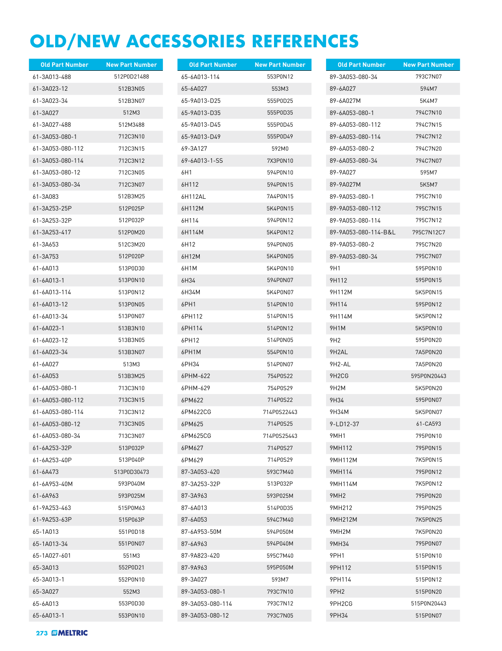## **OLD/NEW ACCESSORIES REFERENCES**

| <b>Old Part Number</b> | <b>New Part Number</b> | <b>Old Part Number</b> | <b>New Part Number</b> | <b>Old Part Number</b>          | <b>New Part Number</b> |
|------------------------|------------------------|------------------------|------------------------|---------------------------------|------------------------|
| 61-3A013-488           | 512P0D21488            | 65-6A013-114           | 553P0N12               | 89-3A053-080-34                 | 793C7N07               |
| 61-3A023-12            | 512B3N05               | 65-6A027               | 553M3                  | 89-6A027                        | 594M7                  |
| 61-3A023-34            | 512B3N07               | 65-9A013-D25           | 555P0D25               | 89-6A027M                       | 5K4M7                  |
| 61-3A027               | 512M3                  | 65-9A013-D35           | 555P0D35               | 89-6A053-080-1                  | 794C7N10               |
| 61-3A027-488           | 512M3488               | 65-9A013-D45           | 555P0D45               | 89-6A053-080-112                | 794C7N15               |
| 61-3A053-080-1         | 712C3N10               | 65-9A013-D49           | 555P0D49               | 89-6A053-080-114                | 794C7N12               |
| 61-3A053-080-112       | 712C3N15               | 69-3A127               | 592M0                  | 89-6A053-080-2                  | 794C7N20               |
| 61-3A053-080-114       | 712C3N12               | 69-6A013-1-SS          | 7X3P0N10               | 89-6A053-080-34                 | 794C7N07               |
| 61-3A053-080-12        | 712C3N05               | 6H1                    | 594P0N10               | 89-9A027                        | 595M7                  |
| 61-3A053-080-34        | 712C3N07               | 6H112                  | 594P0N15               | 89-9A027M                       | 5K5M7                  |
| 61-3A083               | 512B3M25               | 6H112AL                | 7A4P0N15               | 89-9A053-080-1                  | 795C7N10               |
| 61-3A253-25P           | 512P025P               | 6H112M                 | 5K4P0N15               | 89-9A053-080-112                | 795C7N15               |
| 61-3A253-32P           | 512P032P               | 6H114                  | 594P0N12               | 89-9A053-080-114                | 795C7N12               |
| 61-3A253-417           | 512P0M20               | 6H114M                 | 5K4P0N12               | 89-9A053-080-114-B&L            | 795C7N12C7             |
| 61-3A653               | 512C3M20               | 6H12                   | 594P0N05               | 89-9A053-080-2                  | 795C7N20               |
| 61-3A753               | 512P020P               | 6H12M                  | 5K4P0N05               | 89-9A053-080-34                 | 795C7N07               |
| 61-6A013               | 513P0D30               | 6H <sub>1</sub> M      | 5K4P0N10               | 9H1                             | 595P0N10               |
| 61-6A013-1             | 513P0N10               | 6H34                   | 594P0N07               | 9H112                           | 595P0N15               |
| 61-6A013-114           | 513P0N12               | 6H34M                  | 5K4P0N07               | 9H112M                          | 5K5P0N15               |
| 61-6A013-12            | 513P0N05               | 6PH1                   | 514P0N10               | 9H114                           | 595P0N12               |
| 61-6A013-34            | 513P0N07               | 6PH112                 | 514P0N15               | 9H114M                          | 5K5P0N12               |
| 61-6A023-1             | 513B3N10               | 6PH114                 | 514P0N12               | 9H1M                            | 5K5P0N10               |
| 61-6A023-12            | 513B3N05               | 6PH12                  | 514P0N05               | 9H <sub>2</sub>                 | 595P0N20               |
| 61-6A023-34            | 513B3N07               | 6PH1M                  | 554P0N10               | 9H2AL                           | 7A5P0N20               |
| 61-6A027               | 513M3                  | 6PH34                  | 514P0N07               | 9H2-AL                          | 7A5P0N20               |
| 61-6A053               | 513B3M25               | 6PHM-622               | 754P0S22               | 9H <sub>2</sub> C <sub>G</sub>  | 595P0N20443            |
| 61-6A053-080-1         | 713C3N10               | 6PHM-629               | 754P0S29               | 9H2M                            | 5K5P0N20               |
| 61-6A053-080-112       | 713C3N15               | 6PM622                 | 714P0S22               | 9H34                            | 595P0N07               |
| 61-6A053-080-114       | 713C3N12               | 6PM622CG               | 714P0S22443            | 9H34M                           | 5K5P0N07               |
| 61-6A053-080-12        | 713C3N05               | 6PM625                 | 714P0S25               | 9-LD12-37                       | 61-CA593               |
| 61-6A053-080-34        | 713C3N07               | 6PM625CG               | 714P0S25443            | 9MH1                            | 795P0N10               |
| 61-6A253-32P           | 513P032P               | 6PM627                 | 714P0S27               | 9MH112                          | 795P0N15               |
| 61-6A253-40P           | 513P040P               | 6PM629                 | 714P0S29               | 9MH112M                         | 7K5P0N15               |
| 61-6A473               | 513P0D30473            | 87-3A053-420           | 593C7M40               | 9MH114                          | 795P0N12               |
| 61-6A953-40M           | 593P040M               | 87-3A253-32P           | 513P032P               | 9MH114M                         | 7K5P0N12               |
| 61-6A963               | 593P025M               | 87-3A963               | 593P025M               | 9MH <sub>2</sub>                | 795P0N20               |
| 61-9A253-463           | 515P0M63               | 87-6A013               | 514P0D35               | 9MH212                          | 795P0N25               |
| 61-9A253-63P           | 515P063P               | 87-6A053               | 594C7M40               | 9MH212M                         | 7K5P0N25               |
| 65-1A013               | 551P0D18               | 87-6A953-50M           | 594P050M               | 9MH <sub>2</sub> M              | 7K5P0N20               |
| 65-1A013-34            | 551P0N07               | 87-6A963               | 594P040M               | 9MH34                           | 795P0N07               |
| 65-1A027-601           | 551M3                  | 87-9A823-420           | 595C7M40               | 9PH1                            | 515P0N10               |
| 65-3A013               | 552P0D21               | 87-9A963               | 595P050M               | 9PH112                          | 515P0N15               |
| 65-3A013-1             | 552P0N10               | 89-3A027               | 593M7                  | 9PH114                          | 515P0N12               |
| 65-3A027               | 552M3                  | 89-3A053-080-1         | 793C7N10               | 9PH <sub>2</sub>                | 515P0N20               |
| 65-6A013               | 553P0D30               | 89-3A053-080-114       | 793C7N12               | 9PH <sub>2</sub> C <sub>G</sub> | 515P0N20443            |
| 65-6A013-1             | 553P0N10               | 89-3A053-080-12        | 793C7N05               | 9PH34                           | 515P0N07               |
|                        |                        |                        |                        |                                 |                        |

**273** *III* **MELTRIC**